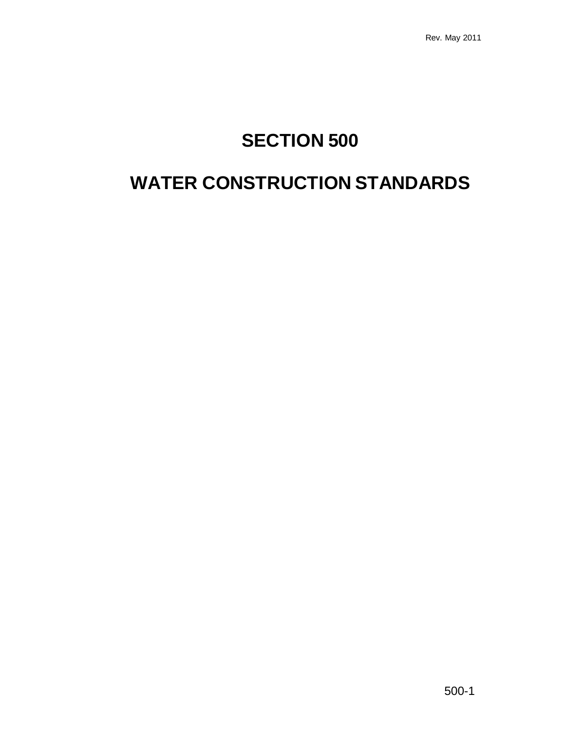# **SECTION 500**

# **WATER CONSTRUCTION STANDARDS**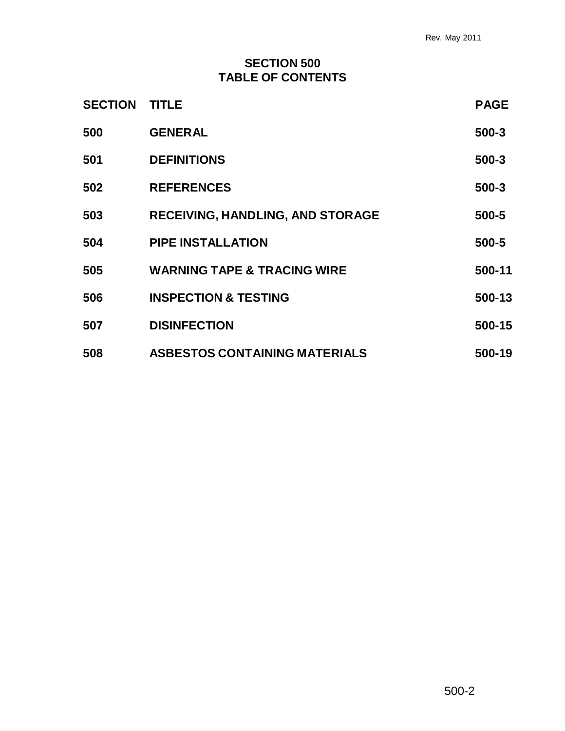# **SECTION 500 TABLE OF CONTENTS**

| <b>SECTION</b> | <b>TITLE</b>                            | <b>PAGE</b> |
|----------------|-----------------------------------------|-------------|
| 500            | <b>GENERAL</b>                          | $500 - 3$   |
| 501            | <b>DEFINITIONS</b>                      | 500-3       |
| 502            | <b>REFERENCES</b>                       | 500-3       |
| 503            | <b>RECEIVING, HANDLING, AND STORAGE</b> | 500-5       |
| 504            | <b>PIPE INSTALLATION</b>                | 500-5       |
| 505            | <b>WARNING TAPE &amp; TRACING WIRE</b>  | 500-11      |
| 506            | <b>INSPECTION &amp; TESTING</b>         | 500-13      |
| 507            | <b>DISINFECTION</b>                     | 500-15      |
| 508            | <b>ASBESTOS CONTAINING MATERIALS</b>    | 500-19      |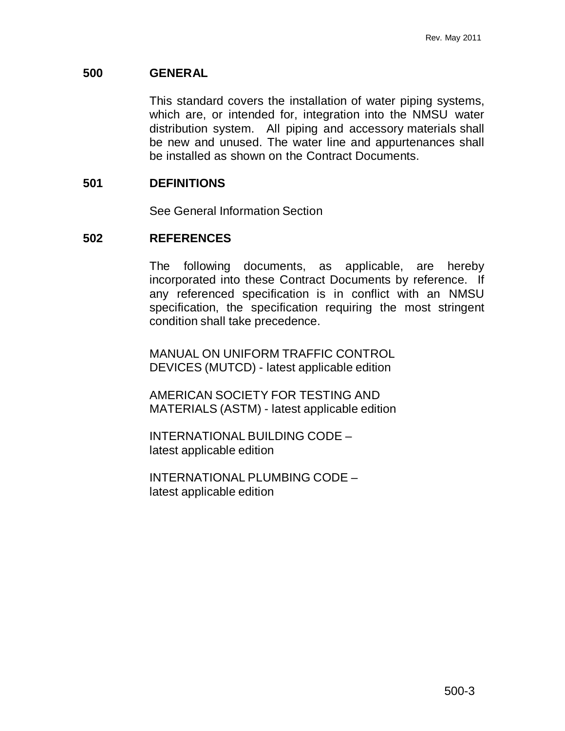# **500 GENERAL**

This standard covers the installation of water piping systems, which are, or intended for, integration into the NMSU water distribution system. All piping and accessory materials shall be new and unused. The water line and appurtenances shall be installed as shown on the Contract Documents.

# **501 DEFINITIONS**

See General Information Section

# **502 REFERENCES**

The following documents, as applicable, are hereby incorporated into these Contract Documents by reference. If any referenced specification is in conflict with an NMSU specification, the specification requiring the most stringent condition shall take precedence.

MANUAL ON UNIFORM TRAFFIC CONTROL DEVICES (MUTCD) - latest applicable edition

AMERICAN SOCIETY FOR TESTING AND MATERIALS (ASTM) - latest applicable edition

INTERNATIONAL BUILDING CODE – latest applicable edition

INTERNATIONAL PLUMBING CODE – latest applicable edition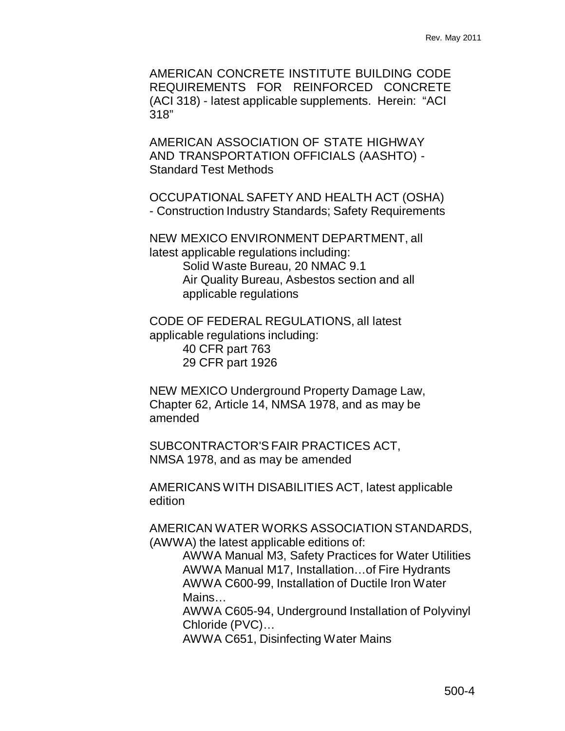AMERICAN CONCRETE INSTITUTE BUILDING CODE REQUIREMENTS FOR REINFORCED CONCRETE (ACI 318) - latest applicable supplements. Herein: "ACI 318"

AMERICAN ASSOCIATION OF STATE HIGHWAY AND TRANSPORTATION OFFICIALS (AASHTO) - Standard Test Methods

OCCUPATIONAL SAFETY AND HEALTH ACT (OSHA) - Construction Industry Standards; Safety Requirements

NEW MEXICO ENVIRONMENT DEPARTMENT, all latest applicable regulations including: Solid Waste Bureau, 20 NMAC 9.1 Air Quality Bureau, Asbestos section and all applicable regulations

CODE OF FEDERAL REGULATIONS, all latest applicable regulations including:

> 40 CFR part 763 29 CFR part 1926

NEW MEXICO Underground Property Damage Law, Chapter 62, Article 14, NMSA 1978, and as may be amended

SUBCONTRACTOR'S FAIR PRACTICES ACT, NMSA 1978, and as may be amended

AMERICANS WITH DISABILITIES ACT, latest applicable edition

AMERICAN WATER WORKS ASSOCIATION STANDARDS, (AWWA) the latest applicable editions of:

> AWWA Manual M3, Safety Practices for Water Utilities AWWA Manual M17, Installation…of Fire Hydrants AWWA C600-99, Installation of Ductile Iron Water Mains…

> AWWA C605-94, Underground Installation of Polyvinyl Chloride (PVC)…

AWWA C651, Disinfecting Water Mains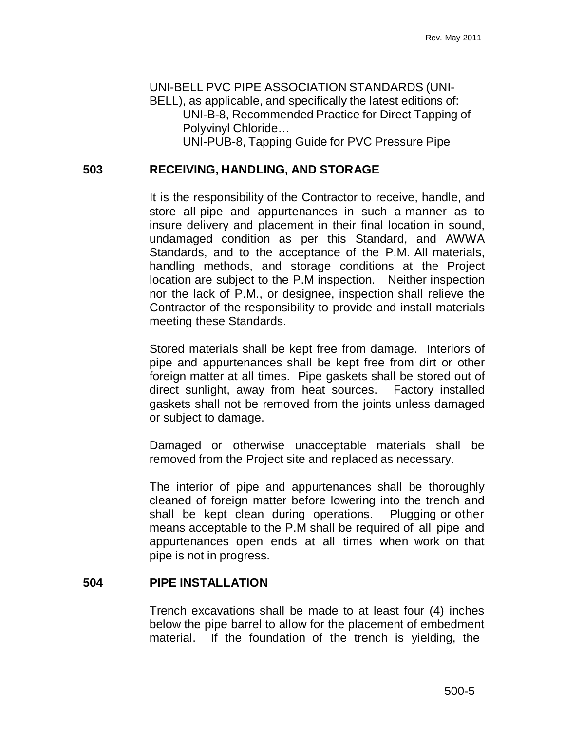UNI-BELL PVC PIPE ASSOCIATION STANDARDS (UNI-BELL), as applicable, and specifically the latest editions of: UNI-B-8, Recommended Practice for Direct Tapping of Polyvinyl Chloride…

UNI-PUB-8, Tapping Guide for PVC Pressure Pipe

# **503 RECEIVING, HANDLING, AND STORAGE**

It is the responsibility of the Contractor to receive, handle, and store all pipe and appurtenances in such a manner as to insure delivery and placement in their final location in sound, undamaged condition as per this Standard, and AWWA Standards, and to the acceptance of the P.M. All materials, handling methods, and storage conditions at the Project location are subject to the P.M inspection. Neither inspection nor the lack of P.M., or designee, inspection shall relieve the Contractor of the responsibility to provide and install materials meeting these Standards.

Stored materials shall be kept free from damage. Interiors of pipe and appurtenances shall be kept free from dirt or other foreign matter at all times. Pipe gaskets shall be stored out of direct sunlight, away from heat sources. Factory installed gaskets shall not be removed from the joints unless damaged or subject to damage.

Damaged or otherwise unacceptable materials shall be removed from the Project site and replaced as necessary.

The interior of pipe and appurtenances shall be thoroughly cleaned of foreign matter before lowering into the trench and shall be kept clean during operations. Plugging or other means acceptable to the P.M shall be required of all pipe and appurtenances open ends at all times when work on that pipe is not in progress.

#### **504 PIPE INSTALLATION**

Trench excavations shall be made to at least four (4) inches below the pipe barrel to allow for the placement of embedment material. If the foundation of the trench is yielding, the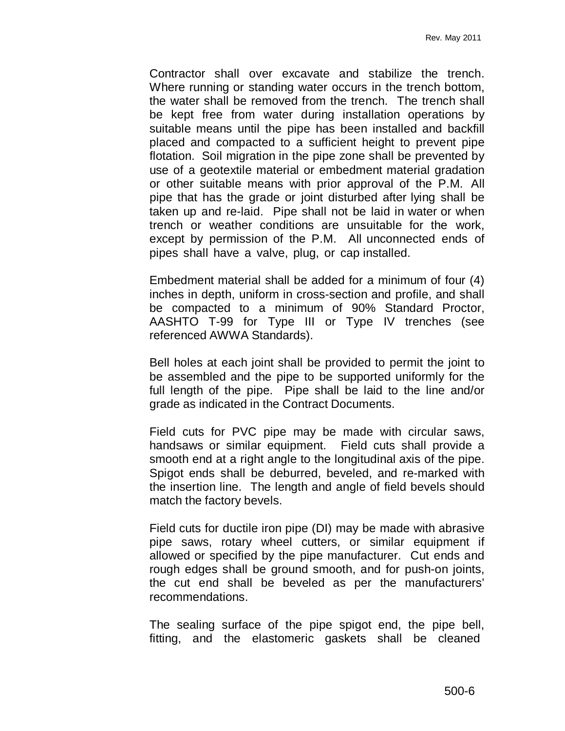Contractor shall over excavate and stabilize the trench. Where running or standing water occurs in the trench bottom, the water shall be removed from the trench. The trench shall be kept free from water during installation operations by suitable means until the pipe has been installed and backfill placed and compacted to a sufficient height to prevent pipe flotation. Soil migration in the pipe zone shall be prevented by use of a geotextile material or embedment material gradation or other suitable means with prior approval of the P.M. All pipe that has the grade or joint disturbed after lying shall be taken up and re-laid. Pipe shall not be laid in water or when trench or weather conditions are unsuitable for the work, except by permission of the P.M. All unconnected ends of pipes shall have a valve, plug, or cap installed.

Embedment material shall be added for a minimum of four (4) inches in depth, uniform in cross-section and profile, and shall be compacted to a minimum of 90% Standard Proctor, AASHTO T-99 for Type III or Type IV trenches (see referenced AWWA Standards).

Bell holes at each joint shall be provided to permit the joint to be assembled and the pipe to be supported uniformly for the full length of the pipe. Pipe shall be laid to the line and/or grade as indicated in the Contract Documents.

Field cuts for PVC pipe may be made with circular saws, handsaws or similar equipment. Field cuts shall provide a smooth end at a right angle to the longitudinal axis of the pipe. Spigot ends shall be deburred, beveled, and re-marked with the insertion line. The length and angle of field bevels should match the factory bevels.

Field cuts for ductile iron pipe (DI) may be made with abrasive pipe saws, rotary wheel cutters, or similar equipment if allowed or specified by the pipe manufacturer. Cut ends and rough edges shall be ground smooth, and for push-on joints, the cut end shall be beveled as per the manufacturers' recommendations.

The sealing surface of the pipe spigot end, the pipe bell, fitting, and the elastomeric gaskets shall be cleaned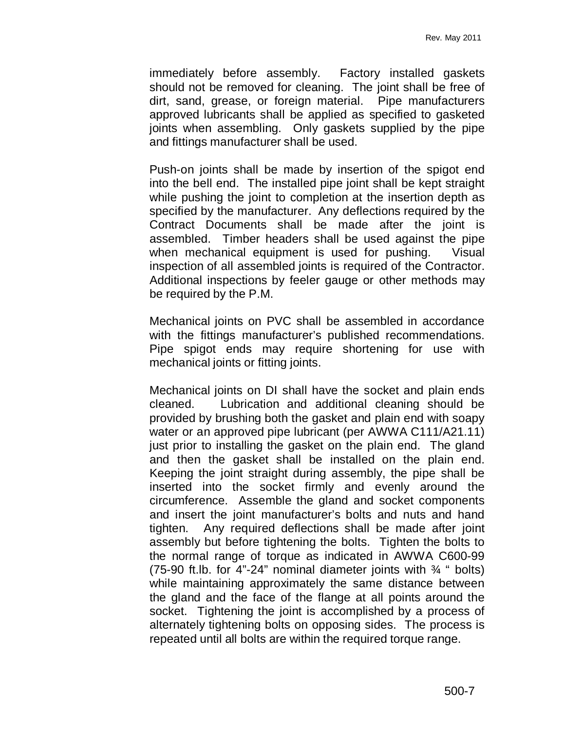immediately before assembly. Factory installed gaskets should not be removed for cleaning. The joint shall be free of dirt, sand, grease, or foreign material. Pipe manufacturers approved lubricants shall be applied as specified to gasketed joints when assembling. Only gaskets supplied by the pipe and fittings manufacturer shall be used.

Push-on joints shall be made by insertion of the spigot end into the bell end. The installed pipe joint shall be kept straight while pushing the joint to completion at the insertion depth as specified by the manufacturer. Any deflections required by the Contract Documents shall be made after the joint is assembled. Timber headers shall be used against the pipe when mechanical equipment is used for pushing. Visual inspection of all assembled joints is required of the Contractor. Additional inspections by feeler gauge or other methods may be required by the P.M.

Mechanical joints on PVC shall be assembled in accordance with the fittings manufacturer's published recommendations. Pipe spigot ends may require shortening for use with mechanical joints or fitting joints.

Mechanical joints on DI shall have the socket and plain ends cleaned. Lubrication and additional cleaning should be provided by brushing both the gasket and plain end with soapy water or an approved pipe lubricant (per AWWA C111/A21.11) just prior to installing the gasket on the plain end. The gland and then the gasket shall be installed on the plain end. Keeping the joint straight during assembly, the pipe shall be inserted into the socket firmly and evenly around the circumference. Assemble the gland and socket components and insert the joint manufacturer's bolts and nuts and hand tighten. Any required deflections shall be made after joint assembly but before tightening the bolts. Tighten the bolts to the normal range of torque as indicated in AWWA C600-99 (75-90 ft.lb. for 4"-24" nominal diameter joints with  $\frac{3}{4}$ " bolts) while maintaining approximately the same distance between the gland and the face of the flange at all points around the socket. Tightening the joint is accomplished by a process of alternately tightening bolts on opposing sides. The process is repeated until all bolts are within the required torque range.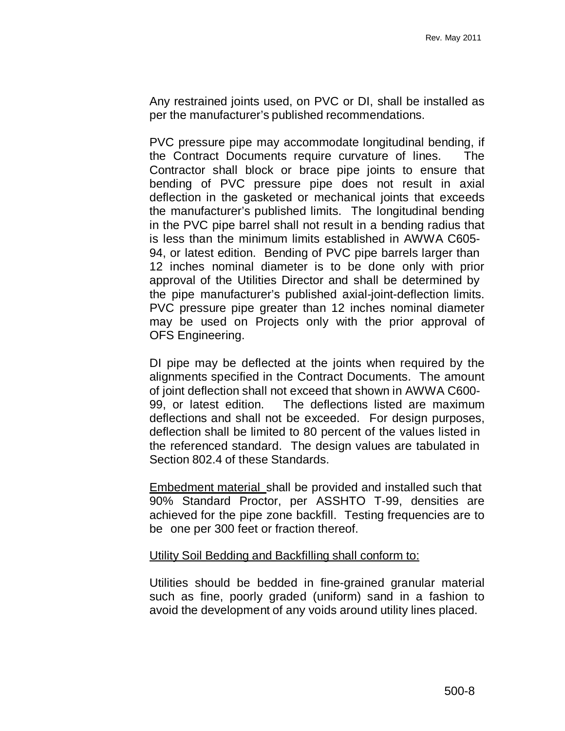Any restrained joints used, on PVC or DI, shall be installed as per the manufacturer's published recommendations.

PVC pressure pipe may accommodate longitudinal bending, if the Contract Documents require curvature of lines. The Contractor shall block or brace pipe joints to ensure that bending of PVC pressure pipe does not result in axial deflection in the gasketed or mechanical joints that exceeds the manufacturer's published limits. The longitudinal bending in the PVC pipe barrel shall not result in a bending radius that is less than the minimum limits established in AWWA C605- 94, or latest edition. Bending of PVC pipe barrels larger than 12 inches nominal diameter is to be done only with prior approval of the Utilities Director and shall be determined by the pipe manufacturer's published axial-joint-deflection limits. PVC pressure pipe greater than 12 inches nominal diameter may be used on Projects only with the prior approval of OFS Engineering.

DI pipe may be deflected at the joints when required by the alignments specified in the Contract Documents. The amount of joint deflection shall not exceed that shown in AWWA C600- 99, or latest edition. The deflections listed are maximum deflections and shall not be exceeded. For design purposes, deflection shall be limited to 80 percent of the values listed in the referenced standard. The design values are tabulated in Section 802.4 of these Standards.

Embedment material shall be provided and installed such that 90% Standard Proctor, per ASSHTO T-99, densities are achieved for the pipe zone backfill. Testing frequencies are to be one per 300 feet or fraction thereof.

#### Utility Soil Bedding and Backfilling shall conform to:

Utilities should be bedded in fine-grained granular material such as fine, poorly graded (uniform) sand in a fashion to avoid the development of any voids around utility lines placed.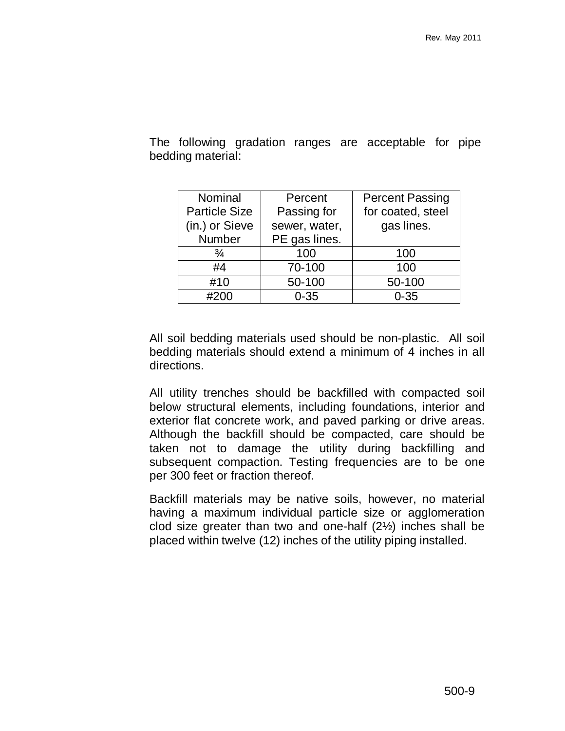| Nominal              | Percent       | <b>Percent Passing</b> |  |
|----------------------|---------------|------------------------|--|
| <b>Particle Size</b> | Passing for   | for coated, steel      |  |
| (in.) or Sieve       | sewer, water, | gas lines.             |  |
| <b>Number</b>        | PE gas lines. |                        |  |
| $\frac{3}{4}$        | 100           | 100                    |  |
| #4                   | 70-100        | 100                    |  |
| #10                  | 50-100        | 50-100                 |  |
| #200                 | $0 - 35$      | $0 - 35$               |  |

The following gradation ranges are acceptable for pipe bedding material:

All soil bedding materials used should be non-plastic. All soil bedding materials should extend a minimum of 4 inches in all directions.

All utility trenches should be backfilled with compacted soil below structural elements, including foundations, interior and exterior flat concrete work, and paved parking or drive areas. Although the backfill should be compacted, care should be taken not to damage the utility during backfilling and subsequent compaction. Testing frequencies are to be one per 300 feet or fraction thereof.

Backfill materials may be native soils, however, no material having a maximum individual particle size or agglomeration clod size greater than two and one-half (2½) inches shall be placed within twelve (12) inches of the utility piping installed.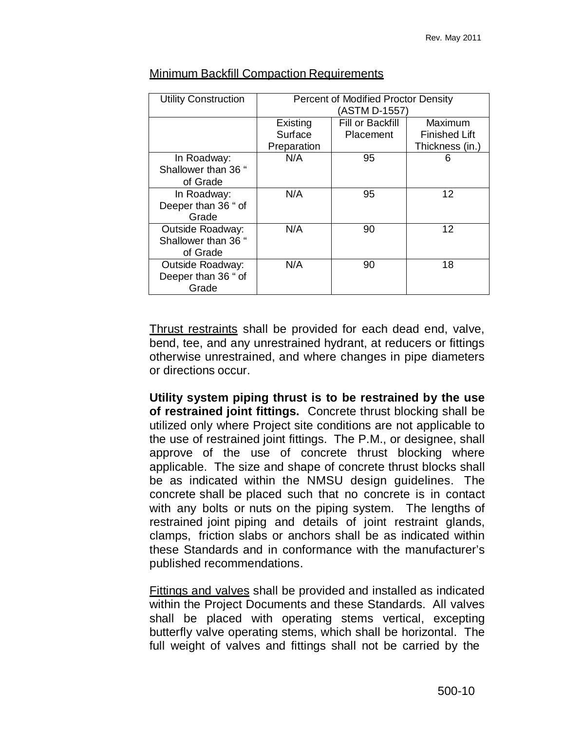| <b>Utility Construction</b> | Percent of Modified Proctor Density |                  |                      |  |
|-----------------------------|-------------------------------------|------------------|----------------------|--|
|                             | (ASTM D-1557)                       |                  |                      |  |
|                             | Existing                            | Fill or Backfill | Maximum              |  |
|                             | Surface                             | Placement        | <b>Finished Lift</b> |  |
|                             | Preparation                         |                  | Thickness (in.)      |  |
| In Roadway:                 | N/A                                 | 95               | 6                    |  |
| Shallower than 36 "         |                                     |                  |                      |  |
| of Grade                    |                                     |                  |                      |  |
| In Roadway:                 | N/A                                 | 95               | 12                   |  |
| Deeper than 36 " of         |                                     |                  |                      |  |
| Grade                       |                                     |                  |                      |  |
| <b>Outside Roadway:</b>     | N/A                                 | 90               | 12                   |  |
| Shallower than 36 "         |                                     |                  |                      |  |
| of Grade                    |                                     |                  |                      |  |
| <b>Outside Roadway:</b>     | N/A                                 | 90               | 18                   |  |
| Deeper than 36 " of         |                                     |                  |                      |  |
| Grade                       |                                     |                  |                      |  |

#### Minimum Backfill Compaction Requirements

Thrust restraints shall be provided for each dead end, valve, bend, tee, and any unrestrained hydrant, at reducers or fittings otherwise unrestrained, and where changes in pipe diameters or directions occur.

**Utility system piping thrust is to be restrained by the use of restrained joint fittings.** Concrete thrust blocking shall be utilized only where Project site conditions are not applicable to the use of restrained joint fittings. The P.M., or designee, shall approve of the use of concrete thrust blocking where applicable. The size and shape of concrete thrust blocks shall be as indicated within the NMSU design guidelines. The concrete shall be placed such that no concrete is in contact with any bolts or nuts on the piping system. The lengths of restrained joint piping and details of joint restraint glands, clamps, friction slabs or anchors shall be as indicated within these Standards and in conformance with the manufacturer's published recommendations.

Fittings and valves shall be provided and installed as indicated within the Project Documents and these Standards. All valves shall be placed with operating stems vertical, excepting butterfly valve operating stems, which shall be horizontal. The full weight of valves and fittings shall not be carried by the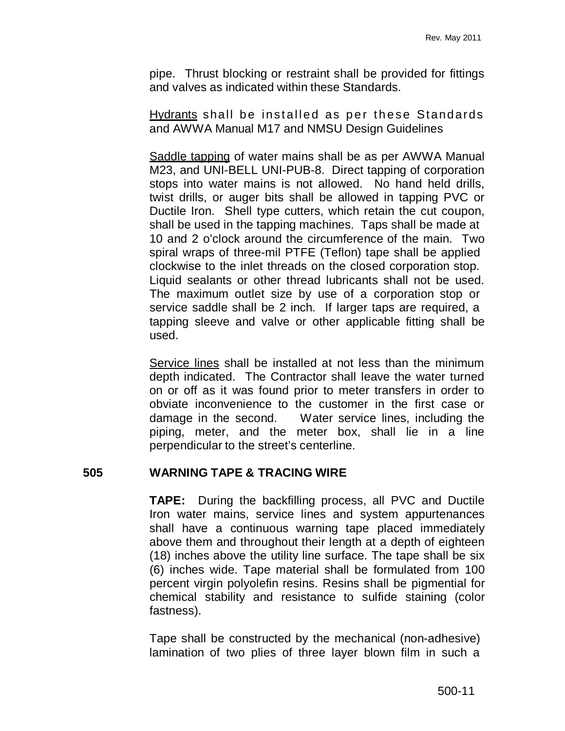pipe. Thrust blocking or restraint shall be provided for fittings and valves as indicated within these Standards.

Hydrants shall be installed as per these Standards and AWWA Manual M17 and NMSU Design Guidelines

Saddle tapping of water mains shall be as per AWWA Manual M23, and UNI-BELL UNI-PUB-8. Direct tapping of corporation stops into water mains is not allowed. No hand held drills, twist drills, or auger bits shall be allowed in tapping PVC or Ductile Iron. Shell type cutters, which retain the cut coupon, shall be used in the tapping machines. Taps shall be made at 10 and 2 o'clock around the circumference of the main. Two spiral wraps of three-mil PTFE (Teflon) tape shall be applied clockwise to the inlet threads on the closed corporation stop. Liquid sealants or other thread lubricants shall not be used. The maximum outlet size by use of a corporation stop or service saddle shall be 2 inch. If larger taps are required, a tapping sleeve and valve or other applicable fitting shall be used.

Service lines shall be installed at not less than the minimum depth indicated. The Contractor shall leave the water turned on or off as it was found prior to meter transfers in order to obviate inconvenience to the customer in the first case or damage in the second. Water service lines, including the piping, meter, and the meter box, shall lie in a line perpendicular to the street's centerline.

# **505 WARNING TAPE & TRACING WIRE**

**TAPE:** During the backfilling process, all PVC and Ductile Iron water mains, service lines and system appurtenances shall have a continuous warning tape placed immediately above them and throughout their length at a depth of eighteen (18) inches above the utility line surface. The tape shall be six (6) inches wide. Tape material shall be formulated from 100 percent virgin polyolefin resins. Resins shall be pigmential for chemical stability and resistance to sulfide staining (color fastness).

Tape shall be constructed by the mechanical (non-adhesive) lamination of two plies of three layer blown film in such a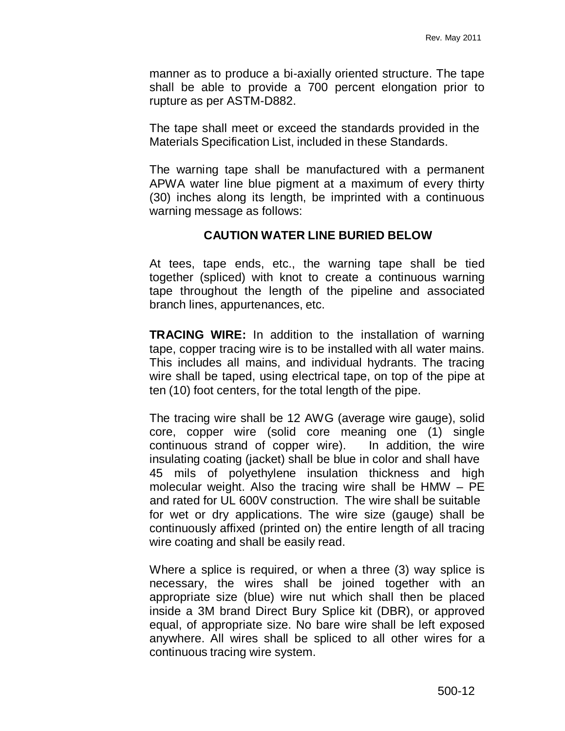manner as to produce a bi-axially oriented structure. The tape shall be able to provide a 700 percent elongation prior to rupture as per ASTM-D882.

The tape shall meet or exceed the standards provided in the Materials Specification List, included in these Standards.

The warning tape shall be manufactured with a permanent APWA water line blue pigment at a maximum of every thirty (30) inches along its length, be imprinted with a continuous warning message as follows:

# **CAUTION WATER LINE BURIED BELOW**

At tees, tape ends, etc., the warning tape shall be tied together (spliced) with knot to create a continuous warning tape throughout the length of the pipeline and associated branch lines, appurtenances, etc.

**TRACING WIRE:** In addition to the installation of warning tape, copper tracing wire is to be installed with all water mains. This includes all mains, and individual hydrants. The tracing wire shall be taped, using electrical tape, on top of the pipe at ten (10) foot centers, for the total length of the pipe.

The tracing wire shall be 12 AWG (average wire gauge), solid core, copper wire (solid core meaning one (1) single continuous strand of copper wire). In addition, the wire insulating coating (jacket) shall be blue in color and shall have 45 mils of polyethylene insulation thickness and high molecular weight. Also the tracing wire shall be  $HMW - PE$ and rated for UL 600V construction. The wire shall be suitable for wet or dry applications. The wire size (gauge) shall be continuously affixed (printed on) the entire length of all tracing wire coating and shall be easily read.

Where a splice is required, or when a three (3) way splice is necessary, the wires shall be joined together with an appropriate size (blue) wire nut which shall then be placed inside a 3M brand Direct Bury Splice kit (DBR), or approved equal, of appropriate size. No bare wire shall be left exposed anywhere. All wires shall be spliced to all other wires for a continuous tracing wire system.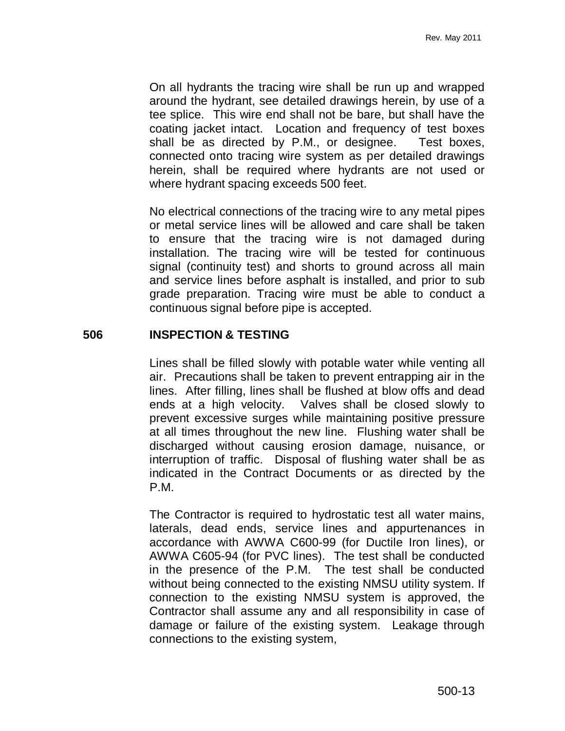On all hydrants the tracing wire shall be run up and wrapped around the hydrant, see detailed drawings herein, by use of a tee splice. This wire end shall not be bare, but shall have the coating jacket intact. Location and frequency of test boxes shall be as directed by P.M., or designee. Test boxes, connected onto tracing wire system as per detailed drawings herein, shall be required where hydrants are not used or where hydrant spacing exceeds 500 feet.

No electrical connections of the tracing wire to any metal pipes or metal service lines will be allowed and care shall be taken to ensure that the tracing wire is not damaged during installation. The tracing wire will be tested for continuous signal (continuity test) and shorts to ground across all main and service lines before asphalt is installed, and prior to sub grade preparation. Tracing wire must be able to conduct a continuous signal before pipe is accepted.

# **506 INSPECTION & TESTING**

Lines shall be filled slowly with potable water while venting all air. Precautions shall be taken to prevent entrapping air in the lines. After filling, lines shall be flushed at blow offs and dead ends at a high velocity. Valves shall be closed slowly to prevent excessive surges while maintaining positive pressure at all times throughout the new line. Flushing water shall be discharged without causing erosion damage, nuisance, or interruption of traffic. Disposal of flushing water shall be as indicated in the Contract Documents or as directed by the P.M.

The Contractor is required to hydrostatic test all water mains, laterals, dead ends, service lines and appurtenances in accordance with AWWA C600-99 (for Ductile Iron lines), or AWWA C605-94 (for PVC lines). The test shall be conducted in the presence of the P.M. The test shall be conducted without being connected to the existing NMSU utility system. If connection to the existing NMSU system is approved, the Contractor shall assume any and all responsibility in case of damage or failure of the existing system. Leakage through connections to the existing system,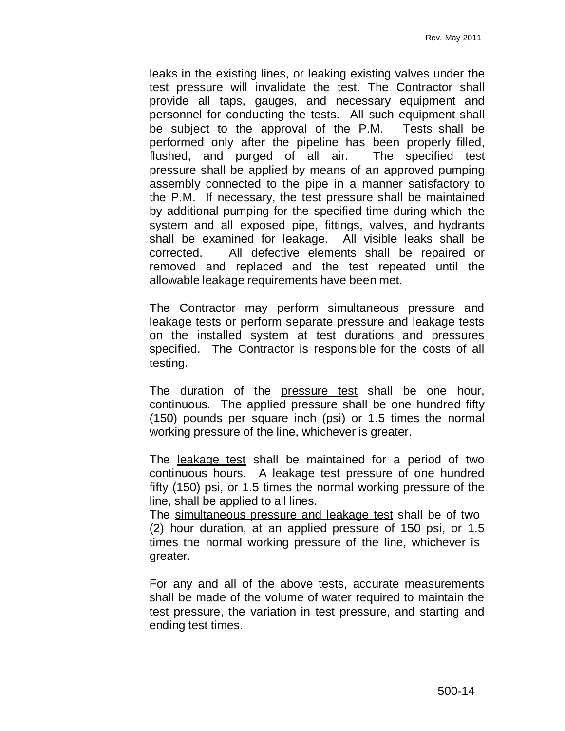leaks in the existing lines, or leaking existing valves under the test pressure will invalidate the test. The Contractor shall provide all taps, gauges, and necessary equipment and personnel for conducting the tests. All such equipment shall be subject to the approval of the P.M. Tests shall be performed only after the pipeline has been properly filled, flushed, and purged of all air. The specified test pressure shall be applied by means of an approved pumping assembly connected to the pipe in a manner satisfactory to the P.M. If necessary, the test pressure shall be maintained by additional pumping for the specified time during which the system and all exposed pipe, fittings, valves, and hydrants shall be examined for leakage. All visible leaks shall be corrected. All defective elements shall be repaired or removed and replaced and the test repeated until the allowable leakage requirements have been met.

The Contractor may perform simultaneous pressure and leakage tests or perform separate pressure and leakage tests on the installed system at test durations and pressures specified. The Contractor is responsible for the costs of all testing.

The duration of the pressure test shall be one hour, continuous. The applied pressure shall be one hundred fifty (150) pounds per square inch (psi) or 1.5 times the normal working pressure of the line, whichever is greater.

The leakage test shall be maintained for a period of two continuous hours. A leakage test pressure of one hundred fifty (150) psi, or 1.5 times the normal working pressure of the line, shall be applied to all lines.

The simultaneous pressure and leakage test shall be of two (2) hour duration, at an applied pressure of 150 psi, or 1.5 times the normal working pressure of the line, whichever is greater.

For any and all of the above tests, accurate measurements shall be made of the volume of water required to maintain the test pressure, the variation in test pressure, and starting and ending test times.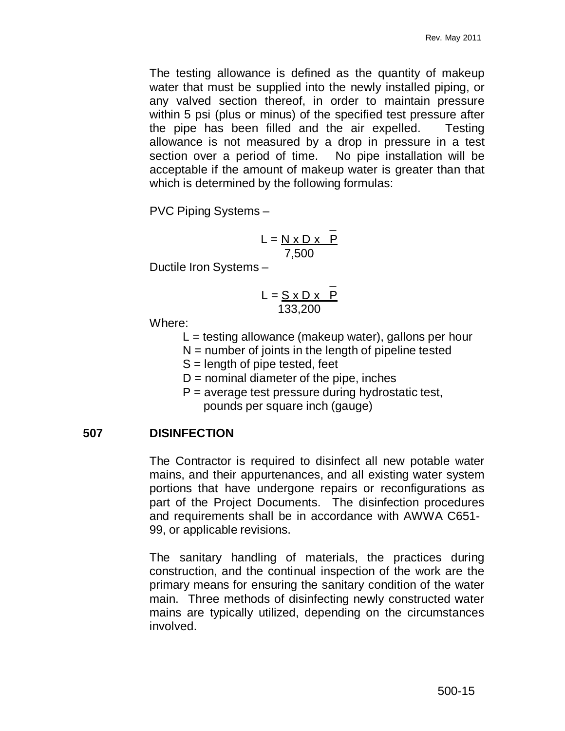The testing allowance is defined as the quantity of makeup water that must be supplied into the newly installed piping, or any valved section thereof, in order to maintain pressure within 5 psi (plus or minus) of the specified test pressure after the pipe has been filled and the air expelled. Testing allowance is not measured by a drop in pressure in a test section over a period of time. No pipe installation will be acceptable if the amount of makeup water is greater than that which is determined by the following formulas:

PVC Piping Systems –

$$
L = \frac{N \times D \times P}{7,500}
$$

Ductile Iron Systems –

$$
L = \frac{S \times D \times P}{133,200}
$$

Where:

- $L =$  testing allowance (makeup water), gallons per hour
- $N =$  number of joints in the length of pipeline tested
- S = length of pipe tested, feet
- $D =$  nominal diameter of the pipe, inches
- $P =$  average test pressure during hydrostatic test, pounds per square inch (gauge)

# **507 DISINFECTION**

The Contractor is required to disinfect all new potable water mains, and their appurtenances, and all existing water system portions that have undergone repairs or reconfigurations as part of the Project Documents. The disinfection procedures and requirements shall be in accordance with AWWA C651- 99, or applicable revisions.

The sanitary handling of materials, the practices during construction, and the continual inspection of the work are the primary means for ensuring the sanitary condition of the water main. Three methods of disinfecting newly constructed water mains are typically utilized, depending on the circumstances involved.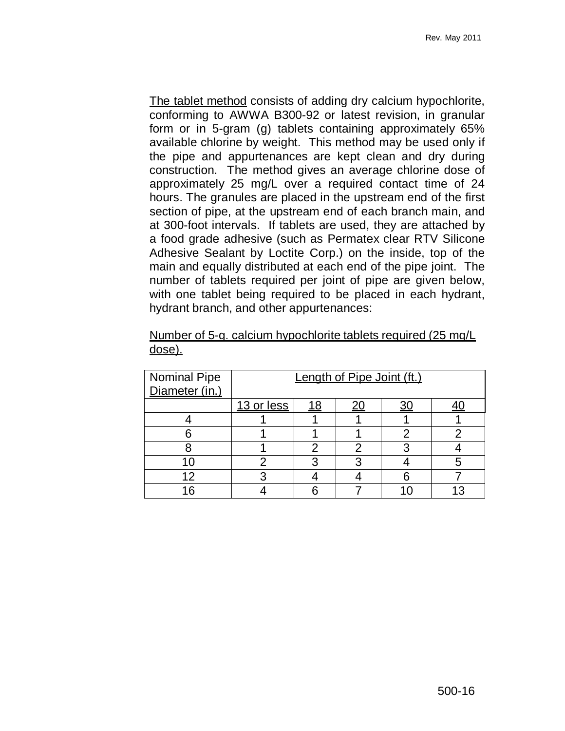The tablet method consists of adding dry calcium hypochlorite, conforming to AWWA B300-92 or latest revision, in granular form or in 5-gram (g) tablets containing approximately 65% available chlorine by weight. This method may be used only if the pipe and appurtenances are kept clean and dry during construction. The method gives an average chlorine dose of approximately 25 mg/L over a required contact time of 24 hours. The granules are placed in the upstream end of the first section of pipe, at the upstream end of each branch main, and at 300-foot intervals. If tablets are used, they are attached by a food grade adhesive (such as Permatex clear RTV Silicone Adhesive Sealant by Loctite Corp.) on the inside, top of the main and equally distributed at each end of the pipe joint. The number of tablets required per joint of pipe are given below, with one tablet being required to be placed in each hydrant, hydrant branch, and other appurtenances:

| <b>Nominal Pipe</b><br>Diameter (in.) | Length of Pipe Joint (ft.) |    |  |  |  |
|---------------------------------------|----------------------------|----|--|--|--|
|                                       |                            |    |  |  |  |
|                                       | 13 or less                 | 18 |  |  |  |
|                                       |                            |    |  |  |  |
|                                       |                            |    |  |  |  |
|                                       |                            |    |  |  |  |
|                                       |                            |    |  |  |  |
| 12                                    |                            |    |  |  |  |
| 16                                    |                            |    |  |  |  |

Number of 5-g. calcium hypochlorite tablets required (25 mg/L dose).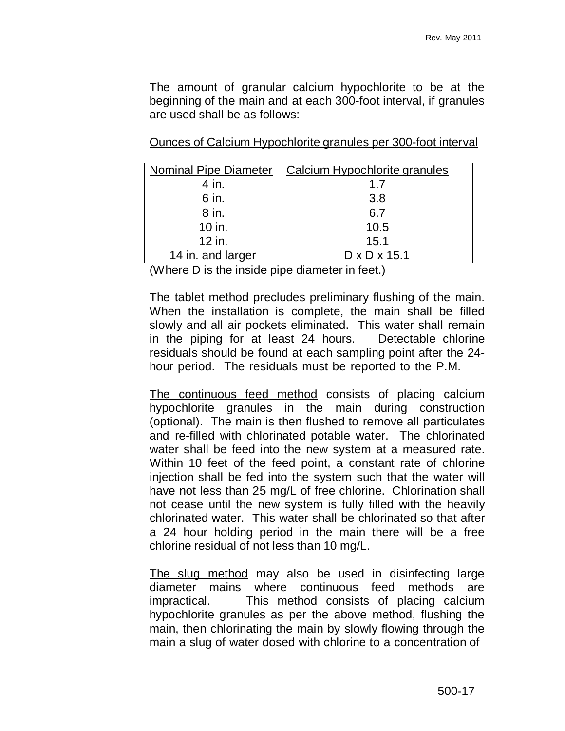The amount of granular calcium hypochlorite to be at the beginning of the main and at each 300-foot interval, if granules are used shall be as follows:

| <b>Nominal Pipe Diameter</b> | Calcium Hypochlorite granules |
|------------------------------|-------------------------------|
| 4 in.                        | 17                            |
| 6 in.                        | 3.8                           |
| 8 in.                        | 6.7                           |
| 10 in.                       | 10.5                          |
| $12$ in.                     | 15.1                          |
| 14 in. and larger            | $D \times D \times 15.1$      |

Ounces of Calcium Hypochlorite granules per 300-foot interval

(Where D is the inside pipe diameter in feet.)

The tablet method precludes preliminary flushing of the main. When the installation is complete, the main shall be filled slowly and all air pockets eliminated. This water shall remain in the piping for at least 24 hours. Detectable chlorine residuals should be found at each sampling point after the 24 hour period. The residuals must be reported to the P.M.

The continuous feed method consists of placing calcium hypochlorite granules in the main during construction (optional). The main is then flushed to remove all particulates and re-filled with chlorinated potable water. The chlorinated water shall be feed into the new system at a measured rate. Within 10 feet of the feed point, a constant rate of chlorine injection shall be fed into the system such that the water will have not less than 25 mg/L of free chlorine. Chlorination shall not cease until the new system is fully filled with the heavily chlorinated water. This water shall be chlorinated so that after a 24 hour holding period in the main there will be a free chlorine residual of not less than 10 mg/L.

The slug method may also be used in disinfecting large diameter mains where continuous feed methods are impractical. This method consists of placing calcium hypochlorite granules as per the above method, flushing the main, then chlorinating the main by slowly flowing through the main a slug of water dosed with chlorine to a concentration of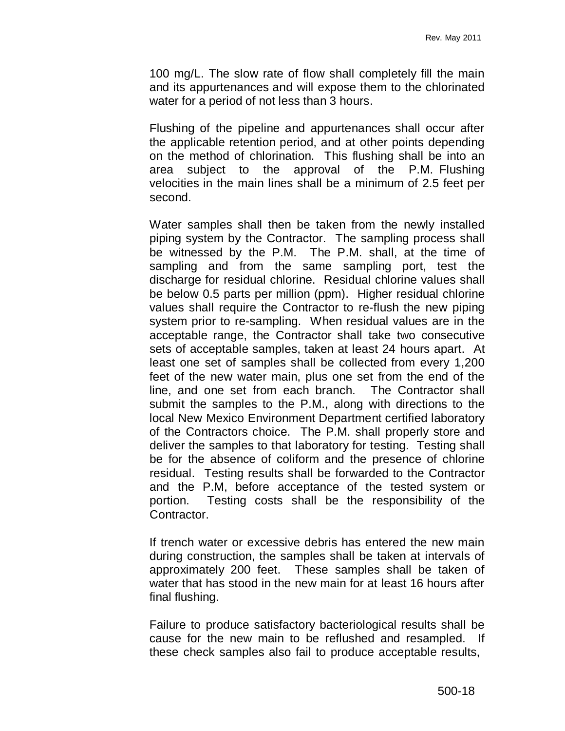100 mg/L. The slow rate of flow shall completely fill the main and its appurtenances and will expose them to the chlorinated water for a period of not less than 3 hours.

Flushing of the pipeline and appurtenances shall occur after the applicable retention period, and at other points depending on the method of chlorination. This flushing shall be into an area subject to the approval of the P.M. Flushing velocities in the main lines shall be a minimum of 2.5 feet per second.

Water samples shall then be taken from the newly installed piping system by the Contractor. The sampling process shall be witnessed by the P.M. The P.M. shall, at the time of sampling and from the same sampling port, test the discharge for residual chlorine. Residual chlorine values shall be below 0.5 parts per million (ppm). Higher residual chlorine values shall require the Contractor to re-flush the new piping system prior to re-sampling. When residual values are in the acceptable range, the Contractor shall take two consecutive sets of acceptable samples, taken at least 24 hours apart. At least one set of samples shall be collected from every 1,200 feet of the new water main, plus one set from the end of the line, and one set from each branch. The Contractor shall submit the samples to the P.M., along with directions to the local New Mexico Environment Department certified laboratory of the Contractors choice. The P.M. shall properly store and deliver the samples to that laboratory for testing. Testing shall be for the absence of coliform and the presence of chlorine residual. Testing results shall be forwarded to the Contractor and the P.M, before acceptance of the tested system or portion. Testing costs shall be the responsibility of the Contractor.

If trench water or excessive debris has entered the new main during construction, the samples shall be taken at intervals of approximately 200 feet. These samples shall be taken of water that has stood in the new main for at least 16 hours after final flushing.

Failure to produce satisfactory bacteriological results shall be cause for the new main to be reflushed and resampled. If these check samples also fail to produce acceptable results,